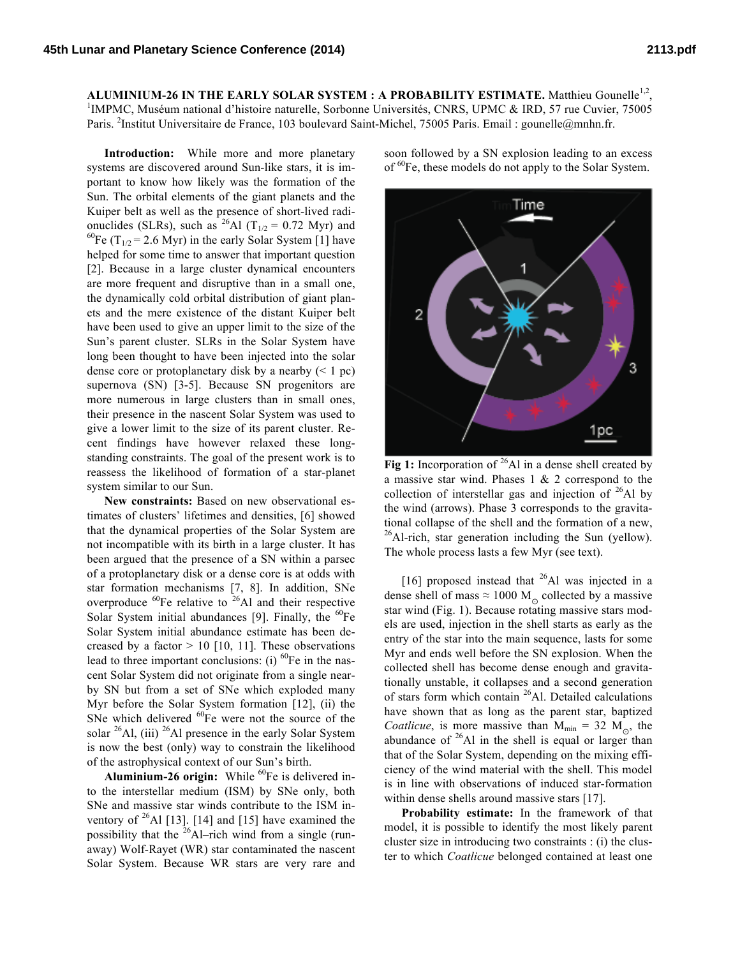ALUMINIUM-26 IN THE EARLY SOLAR SYSTEM : A PROBABILITY ESTIMATE. Matthieu Gounelle<sup>1,2</sup>, <sup>1</sup>IMPMC, Muséum national d'histoire naturelle, Sorbonne Universités, CNRS, UPMC & IRD, 57 rue Cuvier, 75005 Paris. <sup>2</sup>Institut Universitaire de France, 103 boulevard Saint-Michel, 75005 Paris. Email : gounelle@mnhn.fr.

**Introduction:** While more and more planetary systems are discovered around Sun-like stars, it is important to know how likely was the formation of the Sun. The orbital elements of the giant planets and the Kuiper belt as well as the presence of short-lived radionuclides (SLRs), such as <sup>26</sup>Al (T<sub>1/2</sub> = 0.72 Myr) and <sup>60</sup>Fe (T<sub>1/2</sub> = 2.6 Myr) in the early Solar System [1] have helped for some time to answer that important question [2]. Because in a large cluster dynamical encounters are more frequent and disruptive than in a small one, the dynamically cold orbital distribution of giant planets and the mere existence of the distant Kuiper belt have been used to give an upper limit to the size of the Sun's parent cluster. SLRs in the Solar System have long been thought to have been injected into the solar dense core or protoplanetary disk by a nearby (< 1 pc) supernova (SN) [3-5]. Because SN progenitors are more numerous in large clusters than in small ones, their presence in the nascent Solar System was used to give a lower limit to the size of its parent cluster. Recent findings have however relaxed these longstanding constraints. The goal of the present work is to reassess the likelihood of formation of a star-planet system similar to our Sun.

**New constraints:** Based on new observational estimates of clusters' lifetimes and densities, [6] showed that the dynamical properties of the Solar System are not incompatible with its birth in a large cluster. It has been argued that the presence of a SN within a parsec of a protoplanetary disk or a dense core is at odds with star formation mechanisms [7, 8]. In addition, SNe overproduce  ${}^{60}$ Fe relative to  ${}^{26}$ Al and their respective Solar System initial abundances [9]. Finally, the  ${}^{60}Fe$ Solar System initial abundance estimate has been decreased by a factor  $> 10$  [10, 11]. These observations lead to three important conclusions: (i)  ${}^{60}Fe$  in the nascent Solar System did not originate from a single nearby SN but from a set of SNe which exploded many Myr before the Solar System formation [12], (ii) the SNe which delivered  ${}^{60}Fe$  were not the source of the solar  $^{26}$ Al, (iii)  $^{26}$ Al presence in the early Solar System is now the best (only) way to constrain the likelihood of the astrophysical context of our Sun's birth.

**Aluminium-26 origin:** While <sup>60</sup>Fe is delivered into the interstellar medium (ISM) by SNe only, both SNe and massive star winds contribute to the ISM inventory of  $^{26}$ Al [13]. [14] and [15] have examined the possibility that the  $^{26}$ Al–rich wind from a single (runaway) Wolf-Rayet (WR) star contaminated the nascent Solar System. Because WR stars are very rare and

soon followed by a SN explosion leading to an excess of <sup>60</sup>Fe, these models do not apply to the Solar System.



Fig 1: Incorporation of <sup>26</sup>Al in a dense shell created by a massive star wind. Phases  $1 \& 2$  correspond to the collection of interstellar gas and injection of  $^{26}$ Al by the wind (arrows). Phase 3 corresponds to the gravitational collapse of the shell and the formation of a new,  $^{26}$ Al-rich, star generation including the Sun (yellow). The whole process lasts a few Myr (see text).

[16] proposed instead that  $^{26}$ Al was injected in a dense shell of mass  $\approx 1000$  M<sub>o</sub> collected by a massive star wind (Fig. 1). Because rotating massive stars models are used, injection in the shell starts as early as the entry of the star into the main sequence, lasts for some Myr and ends well before the SN explosion. When the collected shell has become dense enough and gravitationally unstable, it collapses and a second generation of stars form which contain <sup>26</sup>Al. Detailed calculations have shown that as long as the parent star, baptized *Coatlicue*, is more massive than  $M_{min} = 32 M_{\odot}$ , the abundance of  $26$ Al in the shell is equal or larger than that of the Solar System, depending on the mixing efficiency of the wind material with the shell. This model is in line with observations of induced star-formation within dense shells around massive stars [17].

**Probability estimate:** In the framework of that model, it is possible to identify the most likely parent cluster size in introducing two constraints : (i) the cluster to which *Coatlicue* belonged contained at least one